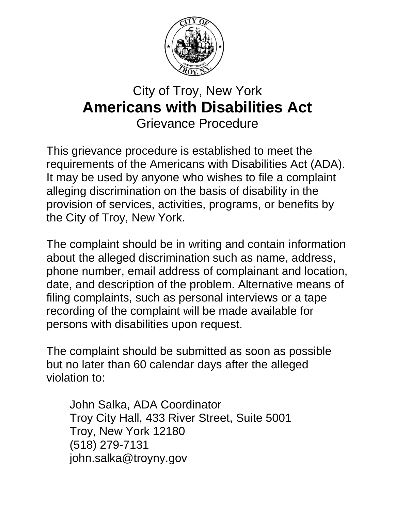

## City of Troy, New York **Americans with Disabilities Act** Grievance Procedure

This grievance procedure is established to meet the requirements of the Americans with Disabilities Act (ADA). It may be used by anyone who wishes to file a complaint alleging discrimination on the basis of disability in the provision of services, activities, programs, or benefits by the City of Troy, New York.

The complaint should be in writing and contain information about the alleged discrimination such as name, address, phone number, email address of complainant and location, date, and description of the problem. Alternative means of filing complaints, such as personal interviews or a tape recording of the complaint will be made available for persons with disabilities upon request.

The complaint should be submitted as soon as possible but no later than 60 calendar days after the alleged violation to:

John Salka, ADA Coordinator Troy City Hall, 433 River Street, Suite 5001 Troy, New York 12180 (518) 279-7131 john.salka@troyny.gov